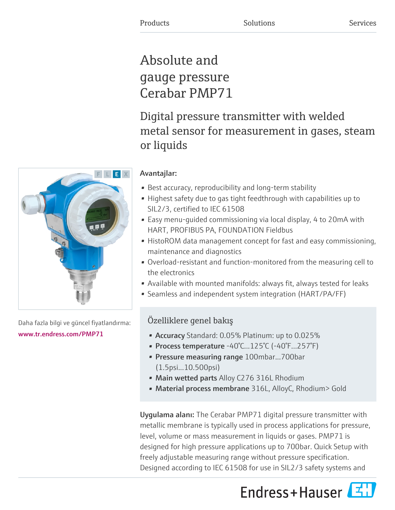# Absolute and gauge pressure Cerabar PMP71

Digital pressure transmitter with welded metal sensor for measurement in gases, steam or liquids

# Avantajlar:

- Best accuracy, reproducibility and long-term stability
- Highest safety due to gas tight feedthrough with capabilities up to SIL2/3, certified to IEC 61508
- Easy menu-guided commissioning via local display, 4 to 20mA with HART, PROFIBUS PA, FOUNDATION Fieldbus
- HistoROM data management concept for fast and easy commissioning, maintenance and diagnostics
- Overload-resistant and function-monitored from the measuring cell to the electronics
- Available with mounted manifolds: always fit, always tested for leaks
- Seamless and independent system integration (HART/PA/FF)

# Özelliklere genel bakış

- **Accuracy** Standard: 0.05% Platinum: up to 0.025%
- Process temperature -40°C...125°C (-40°F...257°F)
- Pressure measuring range 100mbar...700bar (1.5psi...10.500psi)
- Main wetted parts Alloy C276 316L Rhodium
- Material process membrane 316L, AlloyC, Rhodium> Gold

Uygulama alanı: The Cerabar PMP71 digital pressure transmitter with metallic membrane is typically used in process applications for pressure, level, volume or mass measurement in liquids or gases. PMP71 is designed for high pressure applications up to 700bar. Quick Setup with freely adjustable measuring range without pressure specification. Designed according to IEC 61508 for use in SIL2/3 safety systems and



Daha fazla bilgi ve güncel fiyatlandırma: [www.tr.endress.com/PMP71](https://www.tr.endress.com/PMP71)

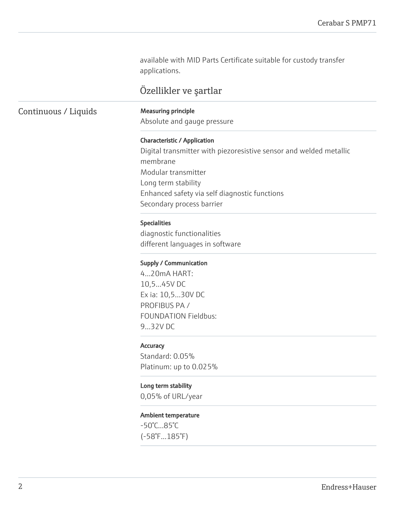available with MID Parts Certificate suitable for custody transfer applications.

# Özellikler ve şartlar

# Continuous / Liquids Measuring principle

Absolute and gauge pressure

# Characteristic / Application

Digital transmitter with piezoresistive sensor and welded metallic membrane Modular transmitter Long term stability Enhanced safety via self diagnostic functions Secondary process barrier

# Specialities

diagnostic functionalities different languages in software

#### Supply / Communication

4...20mA HART: 10,5...45V DC Ex ia: 10,5...30V DC PROFIBUS PA / FOUNDATION Fieldbus: 9...32V DC

# **Accuracy**

Standard: 0.05% Platinum: up to 0.025%

# Long term stability

0,05% of URL/year

# Ambient temperature

-50°C...85°C (-58°F...185°F)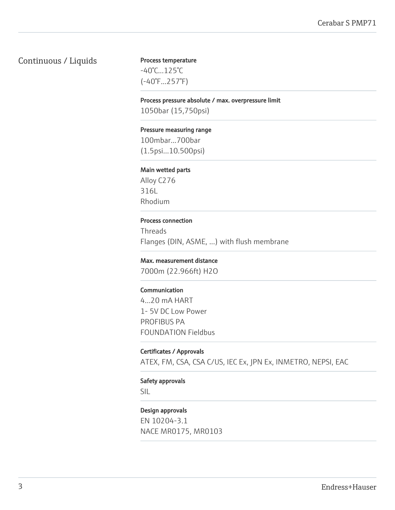# Continuous / Liquids

# Process temperature

-40°C...125°C (-40°F...257°F)

#### Process pressure absolute / max. overpressure limit

1050bar (15,750psi)

#### Pressure measuring range

100mbar...700bar (1.5psi...10.500psi)

#### Main wetted parts

Alloy C276 316L Rhodium

#### Process connection

Threads Flanges (DIN, ASME, ...) with flush membrane

#### Max. measurement distance

7000m (22.966ft) H2O

#### Communication

4...20 mA HART 1- 5V DC Low Power PROFIBUS PA FOUNDATION Fieldbus

# Certificates / Approvals

ATEX, FM, CSA, CSA C/US, IEC Ex, JPN Ex, INMETRO, NEPSI, EAC

#### Safety approvals

SIL

# Design approvals

EN 10204-3.1 NACE MR0175, MR0103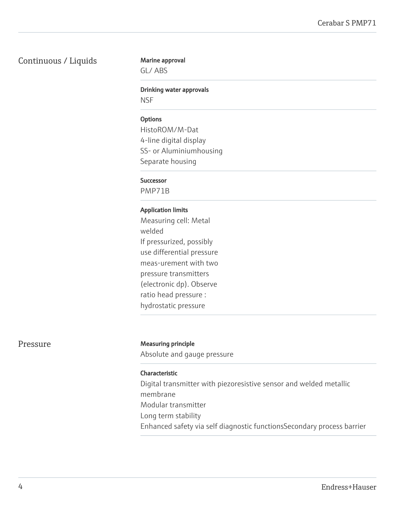# Continuous / Liquids

# Marine approval

GL/ ABS

### Drinking water approvals

**NSF** 

# **Options**

HistoROM/M-Dat 4-line digital display SS- or Aluminiumhousing Separate housing

# Successor

PMP71B

# Application limits

Measuring cell: Metal welded If pressurized, possibly use differential pressure meas-urement with two pressure transmitters (electronic dp). Observe ratio head pressure : hydrostatic pressure

# Pressure Measuring principle

Absolute and gauge pressure

# Characteristic

Digital transmitter with piezoresistive sensor and welded metallic membrane Modular transmitter Long term stability Enhanced safety via self diagnostic functionsSecondary process barrier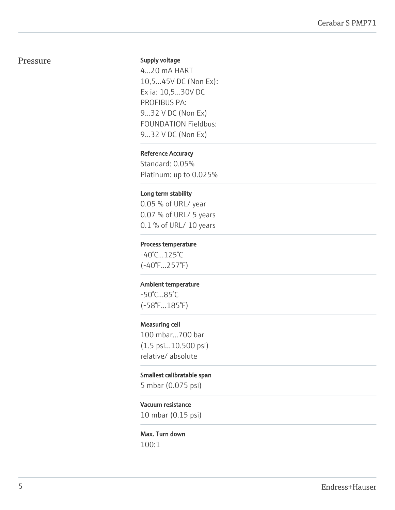# Pressure

#### Supply voltage

4...20 mA HART 10,5...45V DC (Non Ex): Ex ia: 10,5...30V DC PROFIBUS PA: 9...32 V DC (Non Ex) FOUNDATION Fieldbus: 9...32 V DC (Non Ex)

# Reference Accuracy

Standard: 0.05% Platinum: up to 0.025%

# Long term stability

0.05 % of URL/ year 0.07 % of URL/ 5 years 0.1 % of URL/ 10 years

## Process temperature

-40°C...125°C (-40°F...257°F)

#### Ambient temperature

-50°C...85°C (-58°F...185°F)

# Measuring cell

100 mbar...700 bar (1.5 psi...10.500 psi) relative/ absolute

#### Smallest calibratable span

5 mbar (0.075 psi)

# Vacuum resistance

10 mbar (0.15 psi)

# Max. Turn down 100:1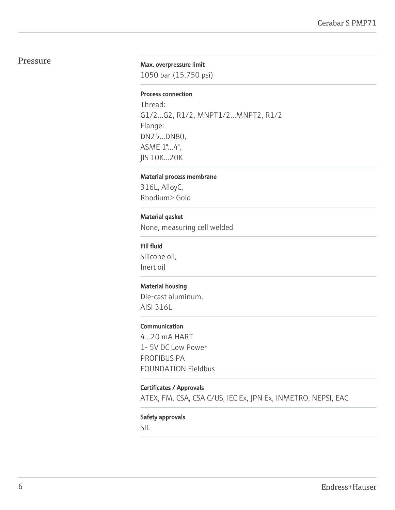# Pressure

#### Max. overpressure limit

1050 bar (15.750 psi)

#### Process connection

Thread: G1/2...G2, R1/2, MNPT1/2...MNPT2, R1/2 Flange: DN25...DN80, ASME 1"...4", JIS 10K...20K

#### Material process membrane

316L, AlloyC, Rhodium> Gold

# Material gasket

None, measuring cell welded

#### Fill fluid

Silicone oil, Inert oil

# Material housing

Die-cast aluminum, AISI 316L

# Communication

4...20 mA HART 1- 5V DC Low Power PROFIBUS PA FOUNDATION Fieldbus

# Certificates / Approvals

ATEX, FM, CSA, CSA C/US, IEC Ex, JPN Ex, INMETRO, NEPSI, EAC

## Safety approvals

SIL